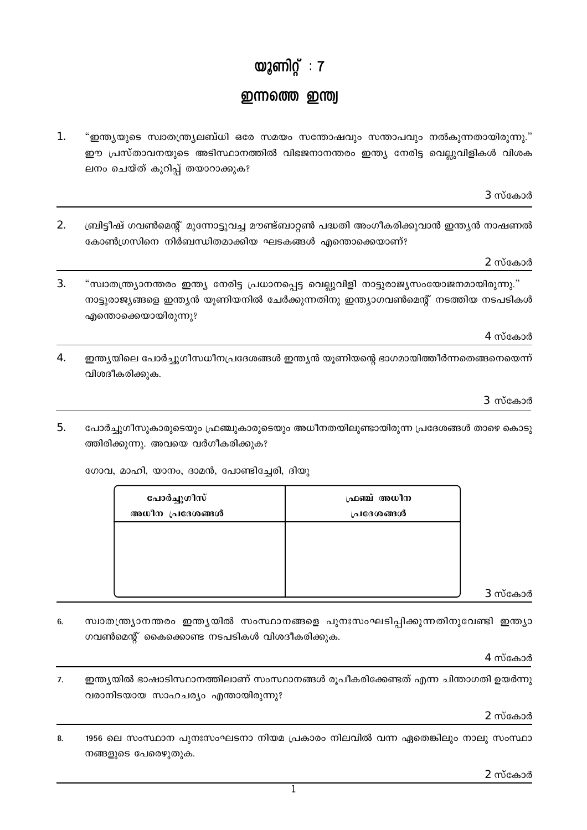## യൂണിറ്റ്:  $7$

## ഇന്നത്തെ ഇന്ത്വ

- $\mathbf{1}$ . "ഇന്ത്യയുടെ സ്വാതന്ത്ര്യലബ്ധി ഒരേ സമയം സന്തോഷവും സന്താപവും നൽകുന്നതായിരുന്നു." ഈ പ്രസ്താവനയുടെ അടിസ്ഥാനത്തിൽ വിഭജനാനന്തരം ഇന്ത്യ നേരിട്ട വെല്ലുവിളികൾ വിശക ലനം ചെയ്ത് കുറിപ്പ് തയാറാക്കുക?
- 2. ബ്രിട്ടീഷ് ഗവൺമെന്റ് മുന്നോട്ടുവച്ച മൗണ്ട്ബാറ്റൺ പദ്ധതി അംഗീകരിക്കുവാൻ ഇന്ത്യൻ നാഷണൽ കോൺഗ്രസിനെ നിർബന്ധിതമാക്കിയ ഘടകങ്ങൾ എന്തൊക്കെയാണ്?

## "സ്വാതന്ത്ര്യാനന്തരം ഇന്ത്യ നേരിട്ട പ്രധാനപ്പെട്ട വെല്ലുവിളി നാട്ടുരാജ്യസംയോജനമായിരുന്നു." നാട്ടുരാജ്യങ്ങളെ ഇന്ത്യൻ യുണിയനിൽ ചേർക്കുന്നതിനു ഇന്ത്യാഗവൺമെന്റ് നടത്തിയ നടപടികൾ

ഫ്രഞ്ച് അധീന

4 സ്കോർ

4. ഇന്ത്യയിലെ പോർച്ചുഗീസധീനപ്രദേശങ്ങൾ ഇന്ത്യൻ യൂണിയന്റെ ഭാഗമായിത്തീർന്നതെങ്ങനെയെന്ന് വിശദീകരിക്കുക.

3 സ്കോർ

 $5<sub>1</sub>$ പോർച്ചുഗീസുകാരുടെയും ഫ്രഞ്ചുകാരുടെയും അധീനതയിലുണ്ടായിരുന്ന പ്രദേശങ്ങൾ താഴെ കൊടു ത്തിരിക്കുന്നു. അവയെ വർഗീകരിക്കുക?

ഗോവ, മാഹി, യാനം, ദാമൻ, പോണ്ടിച്ചേരി, ദിയു

പോർച്ചുഗീസ്

3.

എന്തൊക്കെയായിരുന്നു?

| അധീന പ്രദേശങ്ങൾ | പ്രദേശങ്ങൾ |         |
|-----------------|------------|---------|
|                 |            |         |
|                 |            |         |
|                 |            |         |
|                 |            | 3 സ്കോർ |
|                 |            |         |

സ്വാതന്ത്ര്യാനന്തരം ഇന്ത്യയിൽ സംസ്ഥാനങ്ങളെ പുനഃസംഘടിപ്പിക്കുന്നതിനുവേണ്ടി ഇന്ത്യാ 6. ഗവൺമെന്റ് കൈക്കൊണ്ട നടപടികൾ വിശദീകരിക്കുക.

4 സ്കോർ

7. ഇന്ത്യയിൽ ഭാഷാടിസ്ഥാനത്തിലാണ് സംസ്ഥാനങ്ങൾ രൂപീകരിക്കേണ്ടത് എന്ന ചിന്താഗതി ഉയർന്നു വരാനിടയായ സാഹചര്യം എന്തായിരുന്നു?

 $2$  സ്കോർ

1956 ലെ സംസ്ഥാന പുനഃസംഘടനാ നിയമ പ്രകാരം നിലവിൽ വന്ന ഏതെങ്കിലും നാലു സംസ്ഥാ 8. നങ്ങളുടെ പേരെഴുതുക.

3 സ്കോർ

2 സ്കോർ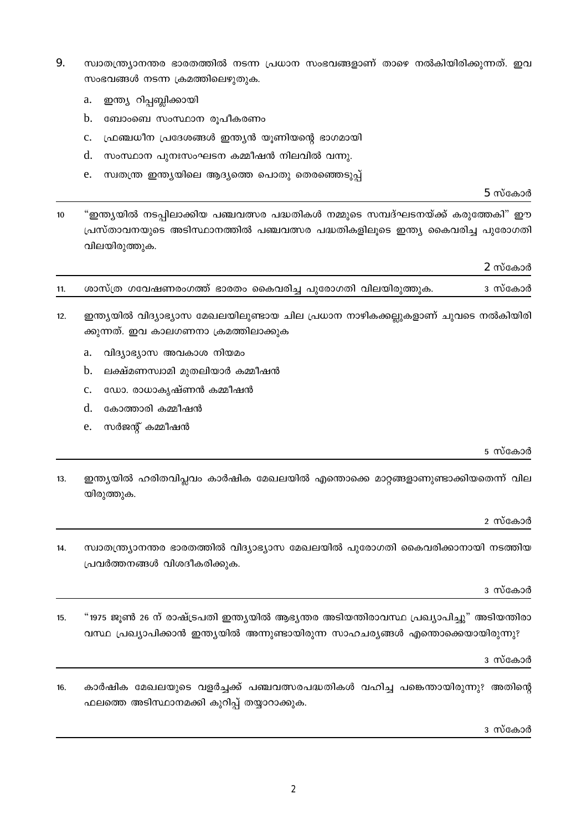- 9. സ്ഥാതന്ത്ര്യാനന്തര ഭാരതത്തിൽ നടന്ന പ്രധാന സംഭവങ്ങളാണ് താഴെ നൽകിയിരിക്കുന്നത്. ഇവ സംഭവങ്ങൾ നടന്ന ക്രമത്തിലെഴുതുക.
	- ഇന്ത്യ റിപ്പബ്ലിക്കായി a.
	- ബോംബെ സംസ്ഥാന രൂപീകരണം h.
	- ഫ്രഞ്ചധീന പ്രദേശങ്ങൾ ഇന്ത്യൻ യുണിയന്റെ ഭാഗമായി  $c.$
	- d. സംസ്ഥാന പുനഃസംഘടന കമ്മീഷൻ നിലവിൽ വന്നു.
	- സ്വതന്ത്ര ഇന്ത്യയിലെ ആദ്യത്തെ പൊതു തെരഞ്ഞെടുപ്പ് e.

 $5$  സ്കോർ

"ഇന്ത്യയിൽ നടപ്പിലാക്കിയ പഞ്ചവത്സര പദ്ധതികൾ നമ്മുടെ സമ്പദ്ഘടനയ്ക്ക് കരുത്തേകി" ഈ  $10<sup>10</sup>$ പ്രസ്താവനയുടെ അടിസ്ഥാനത്തിൽ പഞ്ചവത്സര പദ്ധതികളിലൂടെ ഇന്ത്യ കൈവരിച്ച പുരോഗതി വിലയിരുത്തുക.

2 സ്കോർ

|  | ശാസ്ത്ര ഗവേഷണരംഗത്ത് ഭാരതം കൈവരിച്ച പുരോഗതി വിലയിരുത്തുക. |  |  | ദ സ്കോർ |
|--|-----------------------------------------------------------|--|--|---------|
|  |                                                           |  |  |         |
|  |                                                           |  |  |         |

- $12<sub>1</sub>$ ഇന്ത്യയിൽ വിദ്യാഭ്യാസ മേഖലയിലുണ്ടായ ചില പ്രധാന നാഴികക്കല്ലുകളാണ് ചുവടെ നൽകിയിരി ക്കുന്നത്. ഇവ കാലഗണനാ ക്രമത്തിലാക്കുക
	- a. വിദ്യാഭ്യാസ അവകാശ നിയമം
	- b. ലക്ഷ്മണസ്വാമി മുതലിയാർ കമ്മീഷൻ
	- ഡോ. രാധാകൃഷ്ണൻ കമ്മീഷൻ  $C_{\alpha}$
	- d. കോത്താരി കമ്മീഷൻ
	- സർജന്റ് കമ്മീഷൻ  $e^+$

5 സ്കോർ

 $13.$ ഇന്ത്യയിൽ ഹരിതവിപ്ലവം കാർഷിക മേഖലയിൽ എന്തൊക്കെ മാറ്റങ്ങളാണുണ്ടാക്കിയതെന്ന് വില യിരുത്തുക.

2 സ്കോർ

സ്വാതന്ത്ര്യാനന്തര ഭാരതത്തിൽ വിദ്യാഭ്യാസ മേഖലയിൽ പുരോഗതി കൈവരിക്കാനായി നടത്തിയ  $14$ പ്രവർത്തനങ്ങൾ വിശദീകരിക്കുക.

3 സ്കോർ

"1975 ജൂൺ 26 ന് രാഷ്ട്രപതി ഇന്ത്യയിൽ ആഭ്യന്തര അടിയന്തിരാവസ്ഥ പ്രഖ്യാപിച്ചു" അടിയന്തിരാ 15. വസ്ഥ പ്രഖ്യാപിക്കാൻ ഇന്ത്യയിൽ അന്നുണ്ടായിരുന്ന സാഹചര്യങ്ങൾ എന്തൊക്കെയായിരുന്നു?

3 സ്കോർ

 $16$ കാർഷിക മേഖലയുടെ വളർച്ചക്ക് പഞ്ചവത്സരപദ്ധതികൾ വഹിച്ച പങ്കെന്തായിരുന്നു? അതിന്റെ ഫലത്തെ അടിസ്ഥാനമക്കി കുറിപ്പ് തയ്യാറാക്കുക.

ദ സ്കോർ